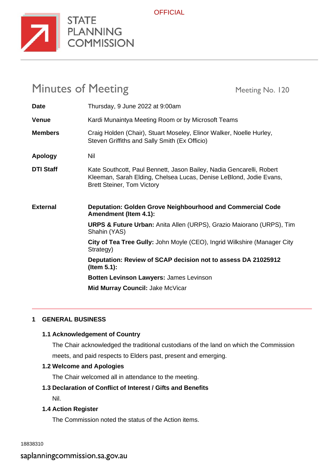

**STATE** PLANNING **COMMISSION** 

# **OFFICIAL**

# Minutes of Meeting Meeting Meeting No. 120

| <b>Date</b>      | Thursday, 9 June 2022 at 9:00am                                                                                                                                                 |
|------------------|---------------------------------------------------------------------------------------------------------------------------------------------------------------------------------|
| <b>Venue</b>     | Kardi Munaintya Meeting Room or by Microsoft Teams                                                                                                                              |
| <b>Members</b>   | Craig Holden (Chair), Stuart Moseley, Elinor Walker, Noelle Hurley,<br>Steven Griffiths and Sally Smith (Ex Officio)                                                            |
| <b>Apology</b>   | Nil                                                                                                                                                                             |
| <b>DTI Staff</b> | Kate Southcott, Paul Bennett, Jason Bailey, Nadia Gencarelli, Robert<br>Kleeman, Sarah Elding, Chelsea Lucas, Denise LeBlond, Jodie Evans,<br><b>Brett Steiner, Tom Victory</b> |
| <b>External</b>  | Deputation: Golden Grove Neighbourhood and Commercial Code<br><b>Amendment (Item 4.1):</b>                                                                                      |
|                  | <b>URPS &amp; Future Urban:</b> Anita Allen (URPS), Grazio Maiorano (URPS), Tim<br>Shahin (YAS)                                                                                 |
|                  | City of Tea Tree Gully: John Moyle (CEO), Ingrid Wilkshire (Manager City                                                                                                        |
|                  | Strategy)                                                                                                                                                                       |
|                  | Deputation: Review of SCAP decision not to assess DA 21025912<br>(Item $5.1$ ):                                                                                                 |
|                  | Botten Levinson Lawyers: James Levinson                                                                                                                                         |
|                  | Mid Murray Council: Jake McVicar                                                                                                                                                |

# **1 GENERAL BUSINESS**

# **1.1 Acknowledgement of Country**

The Chair acknowledged the traditional custodians of the land on which the Commission meets, and paid respects to Elders past, present and emerging.

# **1.2 Welcome and Apologies**

The Chair welcomed all in attendance to the meeting.

# **1.3 Declaration of Conflict of Interest / Gifts and Benefits**

Nil.

# **1.4 Action Register**

The Commission noted the status of the Action items.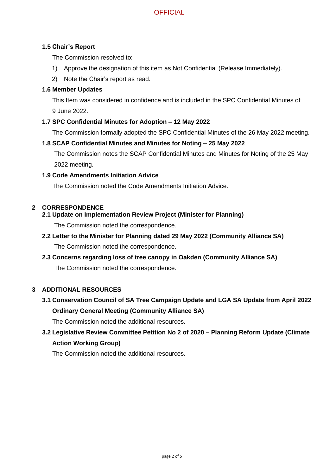# **OFFICIAL**

#### **1.5 Chair's Report**

The Commission resolved to:

- 1) Approve the designation of this item as Not Confidential (Release Immediately).
- 2) Note the Chair's report as read.

# **1.6 Member Updates**

This Item was considered in confidence and is included in the SPC Confidential Minutes of 9 June 2022.

#### **1.7 SPC Confidential Minutes for Adoption – 12 May 2022**

The Commission formally adopted the SPC Confidential Minutes of the 26 May 2022 meeting.

#### **1.8 SCAP Confidential Minutes and Minutes for Noting – 25 May 2022**

The Commission notes the SCAP Confidential Minutes and Minutes for Noting of the 25 May 2022 meeting.

#### **1.9 Code Amendments Initiation Advice**

The Commission noted the Code Amendments Initiation Advice.

#### **2 CORRESPONDENCE**

#### **2.1 Update on Implementation Review Project (Minister for Planning)**

The Commission noted the correspondence.

#### **2.2 Letter to the Minister for Planning dated 29 May 2022 (Community Alliance SA)**

The Commission noted the correspondence.

# **2.3 Concerns regarding loss of tree canopy in Oakden (Community Alliance SA)**

The Commission noted the correspondence.

# **3 ADDITIONAL RESOURCES**

# **3.1 Conservation Council of SA Tree Campaign Update and LGA SA Update from April 2022 Ordinary General Meeting (Community Alliance SA)**

The Commission noted the additional resources.

# **3.2 Legislative Review Committee Petition No 2 of 2020 – Planning Reform Update (Climate Action Working Group)**

The Commission noted the additional resources.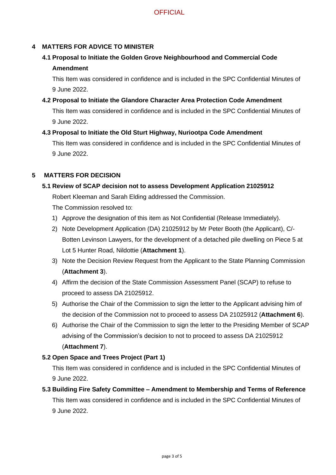# **4 MATTERS FOR ADVICE TO MINISTER**

# **4.1 Proposal to Initiate the Golden Grove Neighbourhood and Commercial Code**

# **Amendment**

This Item was considered in confidence and is included in the SPC Confidential Minutes of 9 June 2022.

#### **4.2 Proposal to Initiate the Glandore Character Area Protection Code Amendment**

This Item was considered in confidence and is included in the SPC Confidential Minutes of 9 June 2022.

# **4.3 Proposal to Initiate the Old Sturt Highway, Nuriootpa Code Amendment**

This Item was considered in confidence and is included in the SPC Confidential Minutes of 9 June 2022.

# **5 MATTERS FOR DECISION**

# **5.1 Review of SCAP decision not to assess Development Application 21025912**

Robert Kleeman and Sarah Elding addressed the Commission.

The Commission resolved to:

- 1) Approve the designation of this item as Not Confidential (Release Immediately).
- 2) Note Development Application (DA) 21025912 by Mr Peter Booth (the Applicant), C/- Botten Levinson Lawyers, for the development of a detached pile dwelling on Piece 5 at Lot 5 Hunter Road, Nildottie (**Attachment 1**).
- 3) Note the Decision Review Request from the Applicant to the State Planning Commission (**Attachment 3**).
- 4) Affirm the decision of the State Commission Assessment Panel (SCAP) to refuse to proceed to assess DA 21025912.
- 5) Authorise the Chair of the Commission to sign the letter to the Applicant advising him of the decision of the Commission not to proceed to assess DA 21025912 (**Attachment 6**).
- 6) Authorise the Chair of the Commission to sign the letter to the Presiding Member of SCAP advising of the Commission's decision to not to proceed to assess DA 21025912 (**Attachment 7**).

# **5.2 Open Space and Trees Project (Part 1)**

This Item was considered in confidence and is included in the SPC Confidential Minutes of 9 June 2022.

**5.3 Building Fire Safety Committee – Amendment to Membership and Terms of Reference** This Item was considered in confidence and is included in the SPC Confidential Minutes of 9 June 2022.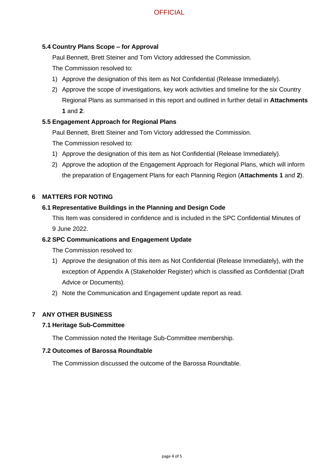# **OFFICIAL**

#### **5.4 Country Plans Scope – for Approval**

Paul Bennett, Brett Steiner and Tom Victory addressed the Commission.

The Commission resolved to:

- 1) Approve the designation of this item as Not Confidential (Release Immediately).
- 2) Approve the scope of investigations, key work activities and timeline for the six Country Regional Plans as summarised in this report and outlined in further detail in **Attachments 1** and **2**.

#### **5.5 Engagement Approach for Regional Plans**

Paul Bennett, Brett Steiner and Tom Victory addressed the Commission.

The Commission resolved to:

- 1) Approve the designation of this item as Not Confidential (Release Immediately).
- 2) Approve the adoption of the Engagement Approach for Regional Plans, which will inform the preparation of Engagement Plans for each Planning Region (**Attachments 1** and **2**).

#### **6 MATTERS FOR NOTING**

#### **6.1 Representative Buildings in the Planning and Design Code**

This Item was considered in confidence and is included in the SPC Confidential Minutes of 9 June 2022.

#### **6.2 SPC Communications and Engagement Update**

The Commission resolved to:

- 1) Approve the designation of this item as Not Confidential (Release Immediately), with the exception of Appendix A (Stakeholder Register) which is classified as Confidential (Draft Advice or Documents).
- 2) Note the Communication and Engagement update report as read*.*

# **7 ANY OTHER BUSINESS**

#### **7.1 Heritage Sub-Committee**

The Commission noted the Heritage Sub-Committee membership.

#### **7.2 Outcomes of Barossa Roundtable**

The Commission discussed the outcome of the Barossa Roundtable.